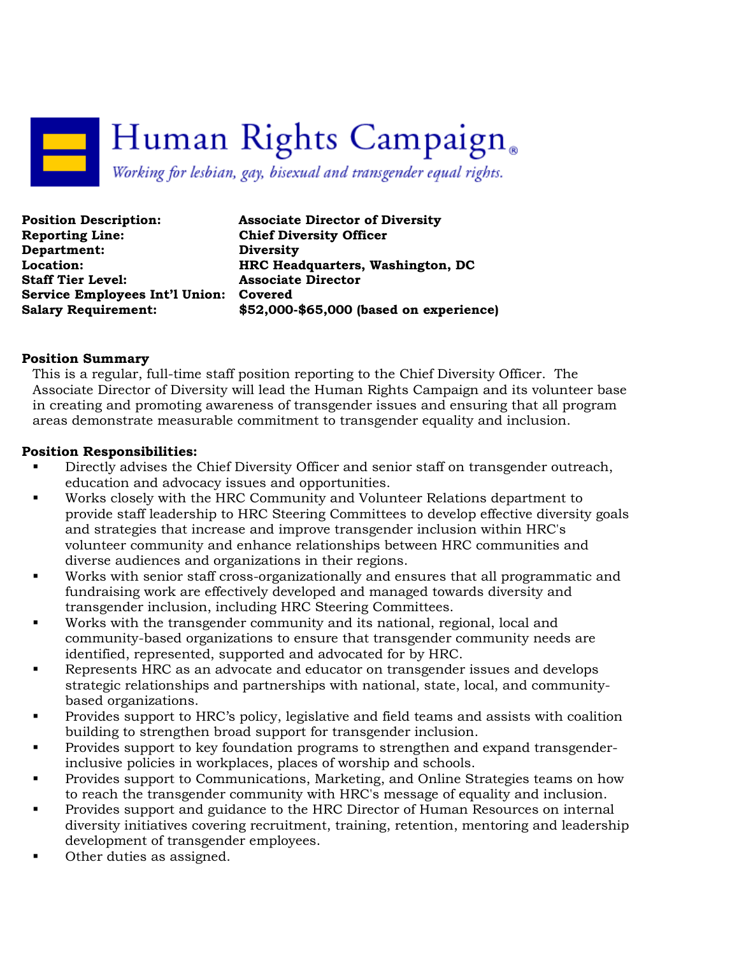# Human Rights Campaign. Working for lesbian, gay, bisexual and transgender equal rights.

| <b>Position Description:</b>           | <b>Associate Director of Diversity</b>  |
|----------------------------------------|-----------------------------------------|
| <b>Reporting Line:</b>                 | <b>Chief Diversity Officer</b>          |
| Department:                            | <b>Diversity</b>                        |
| Location:                              | HRC Headquarters, Washington, DC        |
| <b>Staff Tier Level:</b>               | <b>Associate Director</b>               |
| Service Employees Int'l Union: Covered |                                         |
| <b>Salary Requirement:</b>             | \$52,000-\$65,000 (based on experience) |

#### Position Summary

This is a regular, full-time staff position reporting to the Chief Diversity Officer. The Associate Director of Diversity will lead the Human Rights Campaign and its volunteer base in creating and promoting awareness of transgender issues and ensuring that all program areas demonstrate measurable commitment to transgender equality and inclusion.

#### Position Responsibilities:

- Directly advises the Chief Diversity Officer and senior staff on transgender outreach, education and advocacy issues and opportunities.
- Works closely with the HRC Community and Volunteer Relations department to provide staff leadership to HRC Steering Committees to develop effective diversity goals and strategies that increase and improve transgender inclusion within HRC's volunteer community and enhance relationships between HRC communities and diverse audiences and organizations in their regions.
- Works with senior staff cross-organizationally and ensures that all programmatic and fundraising work are effectively developed and managed towards diversity and transgender inclusion, including HRC Steering Committees.
- Works with the transgender community and its national, regional, local and community-based organizations to ensure that transgender community needs are identified, represented, supported and advocated for by HRC.
- Represents HRC as an advocate and educator on transgender issues and develops strategic relationships and partnerships with national, state, local, and communitybased organizations.
- **Provides support to HRC's policy, legislative and field teams and assists with coalition** building to strengthen broad support for transgender inclusion.
- Provides support to key foundation programs to strengthen and expand transgenderinclusive policies in workplaces, places of worship and schools.
- Provides support to Communications, Marketing, and Online Strategies teams on how to reach the transgender community with HRC's message of equality and inclusion.
- Provides support and guidance to the HRC Director of Human Resources on internal diversity initiatives covering recruitment, training, retention, mentoring and leadership development of transgender employees.
- Other duties as assigned.